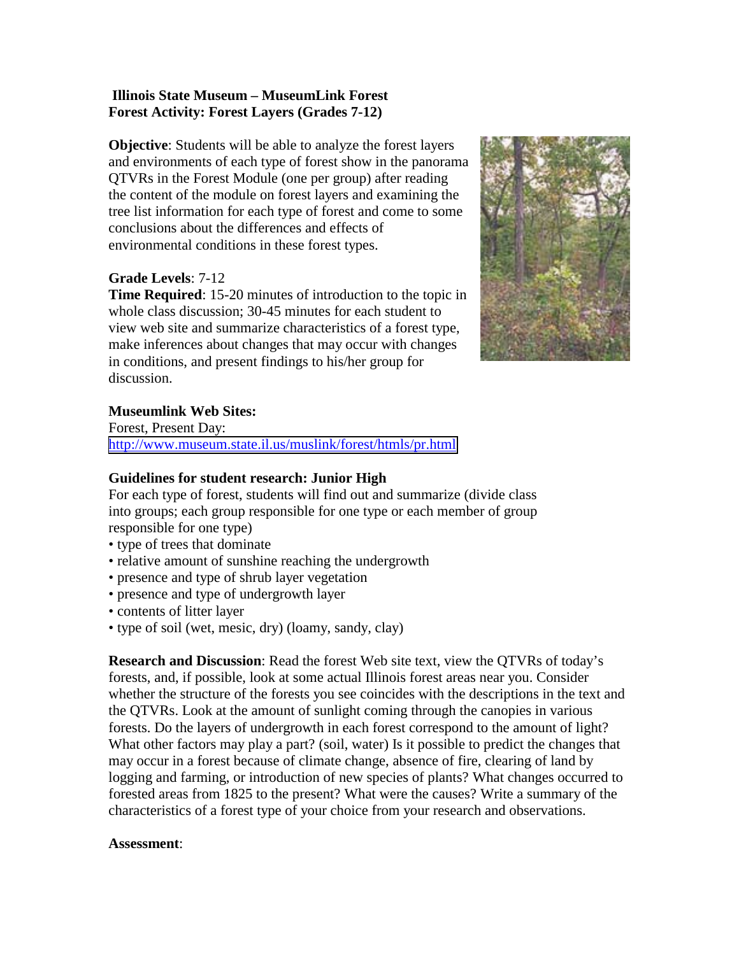## **Illinois State Museum – MuseumLink Forest Forest Activity: Forest Layers (Grades 7-12)**

**Objective**: Students will be able to analyze the forest layers and environments of each type of forest show in the panorama QTVRs in the Forest Module (one per group) after reading the content of the module on forest layers and examining the tree list information for each type of forest and come to some conclusions about the differences and effects of environmental conditions in these forest types.

# **Grade Levels**: 7-12

**Time Required:** 15-20 minutes of introduction to the topic in whole class discussion; 30-45 minutes for each student to view web site and summarize characteristics of a forest type, make inferences about changes that may occur with changes in conditions, and present findings to his/her group for discussion.



# **Museumlink Web Sites:**

Forest, Present Day: <http://www.museum.state.il.us/muslink/forest/htmls/pr.html>

#### **Guidelines for student research: Junior High**

For each type of forest, students will find out and summarize (divide class into groups; each group responsible for one type or each member of group responsible for one type)

- type of trees that dominate
- relative amount of sunshine reaching the undergrowth
- presence and type of shrub layer vegetation
- presence and type of undergrowth layer
- contents of litter layer
- type of soil (wet, mesic, dry) (loamy, sandy, clay)

**Research and Discussion**: Read the forest Web site text, view the QTVRs of today's forests, and, if possible, look at some actual Illinois forest areas near you. Consider whether the structure of the forests you see coincides with the descriptions in the text and the QTVRs. Look at the amount of sunlight coming through the canopies in various forests. Do the layers of undergrowth in each forest correspond to the amount of light? What other factors may play a part? (soil, water) Is it possible to predict the changes that may occur in a forest because of climate change, absence of fire, clearing of land by logging and farming, or introduction of new species of plants? What changes occurred to forested areas from 1825 to the present? What were the causes? Write a summary of the characteristics of a forest type of your choice from your research and observations.

#### **Assessment**: